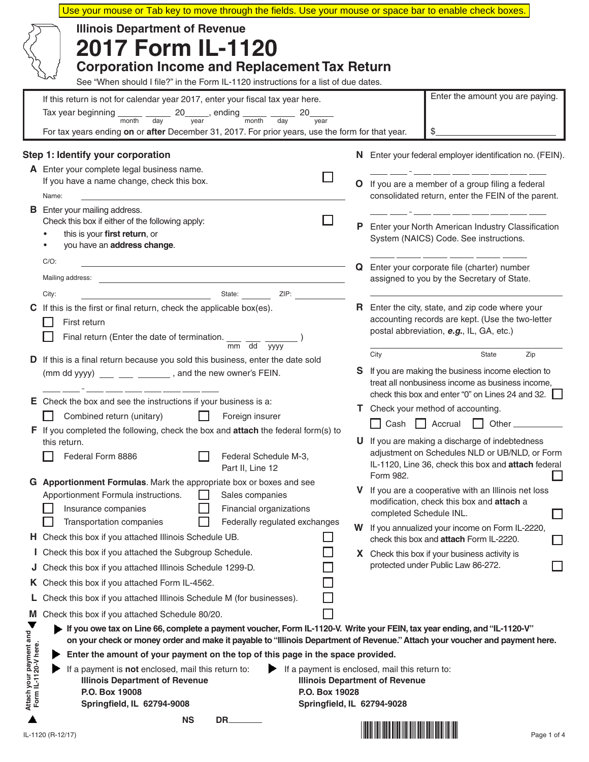| Use your mouse or Tab key to move through the fields. Use your mouse or space bar to enable check boxes.                                                |                                                                                                                                                                                   |    |                                                                                                                      |                                                                                                             |             |  |  |  |  |
|---------------------------------------------------------------------------------------------------------------------------------------------------------|-----------------------------------------------------------------------------------------------------------------------------------------------------------------------------------|----|----------------------------------------------------------------------------------------------------------------------|-------------------------------------------------------------------------------------------------------------|-------------|--|--|--|--|
|                                                                                                                                                         | <b>Illinois Department of Revenue</b>                                                                                                                                             |    |                                                                                                                      |                                                                                                             |             |  |  |  |  |
| 2017 Form IL-1120                                                                                                                                       |                                                                                                                                                                                   |    |                                                                                                                      |                                                                                                             |             |  |  |  |  |
|                                                                                                                                                         | <b>Corporation Income and Replacement Tax Return</b>                                                                                                                              |    |                                                                                                                      |                                                                                                             |             |  |  |  |  |
| See "When should I file?" in the Form IL-1120 instructions for a list of due dates.                                                                     |                                                                                                                                                                                   |    |                                                                                                                      |                                                                                                             |             |  |  |  |  |
|                                                                                                                                                         | If this return is not for calendar year 2017, enter your fiscal tax year here.                                                                                                    |    |                                                                                                                      | Enter the amount you are paying.                                                                            |             |  |  |  |  |
|                                                                                                                                                         | Tax year beginning $\frac{1}{\text{month}}$ $\frac{1}{\text{day}}$ 20 $\frac{1}{\text{year}}$ , ending $\frac{1}{\text{month}}$ $\frac{1}{\text{day}}$ 20 $\frac{1}{\text{year}}$ |    |                                                                                                                      |                                                                                                             |             |  |  |  |  |
|                                                                                                                                                         | For tax years ending on or after December 31, 2017. For prior years, use the form for that year.                                                                                  |    |                                                                                                                      | \$                                                                                                          |             |  |  |  |  |
|                                                                                                                                                         | Step 1: Identify your corporation                                                                                                                                                 |    |                                                                                                                      | N Enter your federal employer identification no. (FEIN).                                                    |             |  |  |  |  |
|                                                                                                                                                         | A Enter your complete legal business name.                                                                                                                                        |    |                                                                                                                      |                                                                                                             |             |  |  |  |  |
|                                                                                                                                                         | If you have a name change, check this box.                                                                                                                                        | O  |                                                                                                                      | If you are a member of a group filing a federal                                                             |             |  |  |  |  |
|                                                                                                                                                         | Name:                                                                                                                                                                             |    |                                                                                                                      | consolidated return, enter the FEIN of the parent.                                                          |             |  |  |  |  |
| В                                                                                                                                                       | Enter your mailing address.<br>Check this box if either of the following apply:                                                                                                   |    |                                                                                                                      |                                                                                                             |             |  |  |  |  |
|                                                                                                                                                         | this is your first return, or                                                                                                                                                     | P. |                                                                                                                      | Enter your North American Industry Classification<br>System (NAICS) Code. See instructions.                 |             |  |  |  |  |
|                                                                                                                                                         | you have an address change.<br>$\bullet$                                                                                                                                          |    |                                                                                                                      |                                                                                                             |             |  |  |  |  |
|                                                                                                                                                         | $C/O$ :<br>the contract of the contract of the contract of the contract of the contract of                                                                                        | Q  |                                                                                                                      | Enter your corporate file (charter) number                                                                  |             |  |  |  |  |
|                                                                                                                                                         | Mailing address:                                                                                                                                                                  |    |                                                                                                                      | assigned to you by the Secretary of State.                                                                  |             |  |  |  |  |
|                                                                                                                                                         | State: ZIP:<br>City:                                                                                                                                                              |    |                                                                                                                      |                                                                                                             |             |  |  |  |  |
| C                                                                                                                                                       | If this is the first or final return, check the applicable box(es).                                                                                                               |    |                                                                                                                      | <b>R</b> Enter the city, state, and zip code where your<br>accounting records are kept. (Use the two-letter |             |  |  |  |  |
|                                                                                                                                                         | First return                                                                                                                                                                      |    |                                                                                                                      | postal abbreviation, e.g., IL, GA, etc.)                                                                    |             |  |  |  |  |
|                                                                                                                                                         | Final return (Enter the date of termination. $\frac{1}{mm}$ $\frac{1}{dd}$ $\frac{1}{yyyy}$                                                                                       |    |                                                                                                                      |                                                                                                             |             |  |  |  |  |
| D                                                                                                                                                       | If this is a final return because you sold this business, enter the date sold                                                                                                     |    | City                                                                                                                 | <b>State</b><br>Zip                                                                                         |             |  |  |  |  |
|                                                                                                                                                         | (mm dd yyyy) ___ __ __ __ ___ , and the new owner's FEIN.                                                                                                                         |    |                                                                                                                      | S If you are making the business income election to<br>treat all nonbusiness income as business income,     |             |  |  |  |  |
|                                                                                                                                                         | E Check the box and see the instructions if your business is a:                                                                                                                   |    |                                                                                                                      | check this box and enter "0" on Lines 24 and 32.                                                            |             |  |  |  |  |
|                                                                                                                                                         | Combined return (unitary)<br>Foreign insurer                                                                                                                                      |    |                                                                                                                      | T Check your method of accounting.                                                                          |             |  |  |  |  |
|                                                                                                                                                         | F If you completed the following, check the box and attach the federal form(s) to                                                                                                 |    | Cash Accrual                                                                                                         | $\Box$ Other $\_\_$                                                                                         |             |  |  |  |  |
|                                                                                                                                                         | this return.                                                                                                                                                                      |    |                                                                                                                      | U If you are making a discharge of indebtedness                                                             |             |  |  |  |  |
|                                                                                                                                                         | Federal Form 8886<br>Federal Schedule M-3,                                                                                                                                        |    |                                                                                                                      | adjustment on Schedules NLD or UB/NLD, or Form<br>IL-1120, Line 36, check this box and attach federal       |             |  |  |  |  |
|                                                                                                                                                         | Part II, Line 12<br>G Apportionment Formulas. Mark the appropriate box or boxes and see                                                                                           |    | Form 982.                                                                                                            |                                                                                                             |             |  |  |  |  |
|                                                                                                                                                         | Apportionment Formula instructions.<br>Sales companies                                                                                                                            | v  |                                                                                                                      | If you are a cooperative with an Illinois net loss                                                          |             |  |  |  |  |
|                                                                                                                                                         | Insurance companies<br>Financial organizations                                                                                                                                    |    | completed Schedule INL.                                                                                              | modification, check this box and attach a                                                                   |             |  |  |  |  |
|                                                                                                                                                         | Transportation companies<br>Federally regulated exchanges                                                                                                                         |    |                                                                                                                      | W If you annualized your income on Form IL-2220,                                                            |             |  |  |  |  |
|                                                                                                                                                         | H Check this box if you attached Illinois Schedule UB.                                                                                                                            |    |                                                                                                                      | check this box and attach Form IL-2220.                                                                     |             |  |  |  |  |
|                                                                                                                                                         | I Check this box if you attached the Subgroup Schedule.                                                                                                                           |    |                                                                                                                      | X Check this box if your business activity is<br>protected under Public Law 86-272.                         |             |  |  |  |  |
|                                                                                                                                                         | J Check this box if you attached Illinois Schedule 1299-D.                                                                                                                        |    |                                                                                                                      |                                                                                                             |             |  |  |  |  |
|                                                                                                                                                         | K Check this box if you attached Form IL-4562.                                                                                                                                    |    |                                                                                                                      |                                                                                                             |             |  |  |  |  |
|                                                                                                                                                         | Check this box if you attached Illinois Schedule M (for businesses).                                                                                                              |    |                                                                                                                      |                                                                                                             |             |  |  |  |  |
| M                                                                                                                                                       | Check this box if you attached Schedule 80/20.<br>• If you owe tax on Line 66, complete a payment voucher, Form IL-1120-V. Write your FEIN, tax year ending, and "IL-1120-V"      |    |                                                                                                                      |                                                                                                             |             |  |  |  |  |
|                                                                                                                                                         | on your check or money order and make it payable to "Illinois Department of Revenue." Attach your voucher and payment here.                                                       |    |                                                                                                                      |                                                                                                             |             |  |  |  |  |
|                                                                                                                                                         | Enter the amount of your payment on the top of this page in the space provided.                                                                                                   |    |                                                                                                                      |                                                                                                             |             |  |  |  |  |
| Attach your payment and<br>Form IL-1120-V here.<br>If a payment is not enclosed, mail this return to:<br>If a payment is enclosed, mail this return to: |                                                                                                                                                                                   |    |                                                                                                                      |                                                                                                             |             |  |  |  |  |
|                                                                                                                                                         | <b>Illinois Department of Revenue</b><br>P.O. Box 19008<br>P.O. Box 19028                                                                                                         |    | <b>Illinois Department of Revenue</b>                                                                                |                                                                                                             |             |  |  |  |  |
|                                                                                                                                                         | Springfield, IL 62794-9008<br>Springfield, IL 62794-9028                                                                                                                          |    |                                                                                                                      |                                                                                                             |             |  |  |  |  |
|                                                                                                                                                         | <b>NS</b><br>DR_                                                                                                                                                                  |    |                                                                                                                      |                                                                                                             |             |  |  |  |  |
|                                                                                                                                                         | IL-1120 (R-12/17)                                                                                                                                                                 |    | <u> Harris Harris Harris Harris Harris Harris Harris Harris Harris Harris Harris Harris Harris Harris Harris Har</u> |                                                                                                             | Page 1 of 4 |  |  |  |  |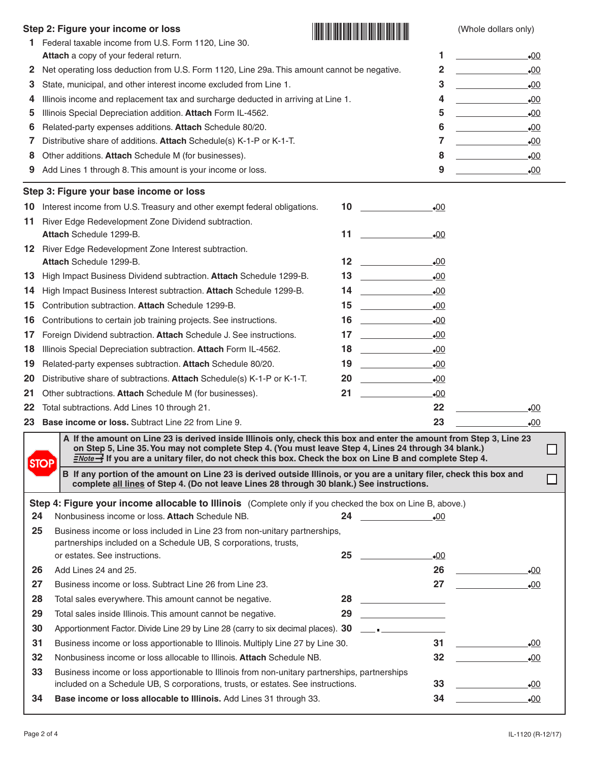|                                                                                                                                                                                                                                                                                                                                                                                                                                                                                                                                                                                                  | Step 2: Figure your income or loss                                                                                                                                                | <u> III maanda ka maalaa ka mid ah in</u>                                                                                                                                                                                                                                                                                                                                                                                                 |                                                                                                                                                                                                                         | (Whole dollars only)                                                                                                                                                                                                                                                                                                                                                                                                                                                     |  |
|--------------------------------------------------------------------------------------------------------------------------------------------------------------------------------------------------------------------------------------------------------------------------------------------------------------------------------------------------------------------------------------------------------------------------------------------------------------------------------------------------------------------------------------------------------------------------------------------------|-----------------------------------------------------------------------------------------------------------------------------------------------------------------------------------|-------------------------------------------------------------------------------------------------------------------------------------------------------------------------------------------------------------------------------------------------------------------------------------------------------------------------------------------------------------------------------------------------------------------------------------------|-------------------------------------------------------------------------------------------------------------------------------------------------------------------------------------------------------------------------|--------------------------------------------------------------------------------------------------------------------------------------------------------------------------------------------------------------------------------------------------------------------------------------------------------------------------------------------------------------------------------------------------------------------------------------------------------------------------|--|
|                                                                                                                                                                                                                                                                                                                                                                                                                                                                                                                                                                                                  | Federal taxable income from U.S. Form 1120, Line 30.                                                                                                                              |                                                                                                                                                                                                                                                                                                                                                                                                                                           |                                                                                                                                                                                                                         |                                                                                                                                                                                                                                                                                                                                                                                                                                                                          |  |
|                                                                                                                                                                                                                                                                                                                                                                                                                                                                                                                                                                                                  | Attach a copy of your federal return.                                                                                                                                             |                                                                                                                                                                                                                                                                                                                                                                                                                                           | 1.                                                                                                                                                                                                                      | $-00$                                                                                                                                                                                                                                                                                                                                                                                                                                                                    |  |
| $\mathbf{2}$                                                                                                                                                                                                                                                                                                                                                                                                                                                                                                                                                                                     | Net operating loss deduction from U.S. Form 1120, Line 29a. This amount cannot be negative.                                                                                       |                                                                                                                                                                                                                                                                                                                                                                                                                                           |                                                                                                                                                                                                                         | $-00$                                                                                                                                                                                                                                                                                                                                                                                                                                                                    |  |
| 3                                                                                                                                                                                                                                                                                                                                                                                                                                                                                                                                                                                                | State, municipal, and other interest income excluded from Line 1.                                                                                                                 |                                                                                                                                                                                                                                                                                                                                                                                                                                           |                                                                                                                                                                                                                         | $-00$                                                                                                                                                                                                                                                                                                                                                                                                                                                                    |  |
| 4                                                                                                                                                                                                                                                                                                                                                                                                                                                                                                                                                                                                | Illinois income and replacement tax and surcharge deducted in arriving at Line 1.                                                                                                 |                                                                                                                                                                                                                                                                                                                                                                                                                                           | 4                                                                                                                                                                                                                       | $-00$                                                                                                                                                                                                                                                                                                                                                                                                                                                                    |  |
| 5                                                                                                                                                                                                                                                                                                                                                                                                                                                                                                                                                                                                | Illinois Special Depreciation addition. Attach Form IL-4562.                                                                                                                      |                                                                                                                                                                                                                                                                                                                                                                                                                                           | 5                                                                                                                                                                                                                       | $-00$                                                                                                                                                                                                                                                                                                                                                                                                                                                                    |  |
| 6                                                                                                                                                                                                                                                                                                                                                                                                                                                                                                                                                                                                | Related-party expenses additions. Attach Schedule 80/20.                                                                                                                          |                                                                                                                                                                                                                                                                                                                                                                                                                                           | 6                                                                                                                                                                                                                       | $_{\bullet}00$                                                                                                                                                                                                                                                                                                                                                                                                                                                           |  |
| 7                                                                                                                                                                                                                                                                                                                                                                                                                                                                                                                                                                                                | Distributive share of additions. Attach Schedule(s) K-1-P or K-1-T.                                                                                                               |                                                                                                                                                                                                                                                                                                                                                                                                                                           | 7                                                                                                                                                                                                                       | $_{\bullet}00$<br>$\label{eq:2.1} \frac{1}{\sqrt{2}}\left(\frac{1}{\sqrt{2}}\right)^{2} \left(\frac{1}{\sqrt{2}}\right)^{2} \left(\frac{1}{\sqrt{2}}\right)^{2} \left(\frac{1}{\sqrt{2}}\right)^{2} \left(\frac{1}{\sqrt{2}}\right)^{2} \left(\frac{1}{\sqrt{2}}\right)^{2} \left(\frac{1}{\sqrt{2}}\right)^{2} \left(\frac{1}{\sqrt{2}}\right)^{2} \left(\frac{1}{\sqrt{2}}\right)^{2} \left(\frac{1}{\sqrt{2}}\right)^{2} \left(\frac{1}{\sqrt{2}}\right)^{2} \left(\$ |  |
| 8                                                                                                                                                                                                                                                                                                                                                                                                                                                                                                                                                                                                | Other additions. Attach Schedule M (for businesses).                                                                                                                              |                                                                                                                                                                                                                                                                                                                                                                                                                                           | 8                                                                                                                                                                                                                       | $-00$                                                                                                                                                                                                                                                                                                                                                                                                                                                                    |  |
| 9                                                                                                                                                                                                                                                                                                                                                                                                                                                                                                                                                                                                | Add Lines 1 through 8. This amount is your income or loss.                                                                                                                        |                                                                                                                                                                                                                                                                                                                                                                                                                                           | 9                                                                                                                                                                                                                       | $-00$                                                                                                                                                                                                                                                                                                                                                                                                                                                                    |  |
|                                                                                                                                                                                                                                                                                                                                                                                                                                                                                                                                                                                                  | Step 3: Figure your base income or loss                                                                                                                                           |                                                                                                                                                                                                                                                                                                                                                                                                                                           |                                                                                                                                                                                                                         |                                                                                                                                                                                                                                                                                                                                                                                                                                                                          |  |
| 10                                                                                                                                                                                                                                                                                                                                                                                                                                                                                                                                                                                               | Interest income from U.S. Treasury and other exempt federal obligations.                                                                                                          | 10<br>$\label{eq:2} \frac{1}{\sqrt{2\pi}}\left(\frac{1}{\sqrt{2\pi}}\right)^{1/2}\left(\frac{1}{\sqrt{2\pi}}\right)^{1/2}\left(\frac{1}{\sqrt{2\pi}}\right)^{1/2}\left(\frac{1}{\sqrt{2\pi}}\right)^{1/2}\left(\frac{1}{\sqrt{2\pi}}\right)^{1/2}\left(\frac{1}{\sqrt{2\pi}}\right)^{1/2}\left(\frac{1}{\sqrt{2\pi}}\right)^{1/2}\left(\frac{1}{\sqrt{2\pi}}\right)^{1/2}\left(\frac{1}{\sqrt{2\pi}}\right)^{1/2}\left(\frac{1}{\sqrt{2\$ | $-00$                                                                                                                                                                                                                   |                                                                                                                                                                                                                                                                                                                                                                                                                                                                          |  |
| 11                                                                                                                                                                                                                                                                                                                                                                                                                                                                                                                                                                                               | River Edge Redevelopment Zone Dividend subtraction.                                                                                                                               |                                                                                                                                                                                                                                                                                                                                                                                                                                           |                                                                                                                                                                                                                         |                                                                                                                                                                                                                                                                                                                                                                                                                                                                          |  |
|                                                                                                                                                                                                                                                                                                                                                                                                                                                                                                                                                                                                  | Attach Schedule 1299-B.                                                                                                                                                           | $11$ and $1$ and $1$                                                                                                                                                                                                                                                                                                                                                                                                                      | $-00$                                                                                                                                                                                                                   |                                                                                                                                                                                                                                                                                                                                                                                                                                                                          |  |
|                                                                                                                                                                                                                                                                                                                                                                                                                                                                                                                                                                                                  | 12 River Edge Redevelopment Zone Interest subtraction.                                                                                                                            |                                                                                                                                                                                                                                                                                                                                                                                                                                           |                                                                                                                                                                                                                         |                                                                                                                                                                                                                                                                                                                                                                                                                                                                          |  |
|                                                                                                                                                                                                                                                                                                                                                                                                                                                                                                                                                                                                  | Attach Schedule 1299-B.                                                                                                                                                           | $12 \quad \qquad \qquad$                                                                                                                                                                                                                                                                                                                                                                                                                  | $\bullet$ 00                                                                                                                                                                                                            |                                                                                                                                                                                                                                                                                                                                                                                                                                                                          |  |
| 13                                                                                                                                                                                                                                                                                                                                                                                                                                                                                                                                                                                               | High Impact Business Dividend subtraction. Attach Schedule 1299-B.                                                                                                                |                                                                                                                                                                                                                                                                                                                                                                                                                                           | $\bullet$ 00                                                                                                                                                                                                            |                                                                                                                                                                                                                                                                                                                                                                                                                                                                          |  |
| 14                                                                                                                                                                                                                                                                                                                                                                                                                                                                                                                                                                                               | High Impact Business Interest subtraction. Attach Schedule 1299-B.                                                                                                                |                                                                                                                                                                                                                                                                                                                                                                                                                                           | $-00$                                                                                                                                                                                                                   |                                                                                                                                                                                                                                                                                                                                                                                                                                                                          |  |
| 15                                                                                                                                                                                                                                                                                                                                                                                                                                                                                                                                                                                               | Contribution subtraction. Attach Schedule 1299-B.                                                                                                                                 | 15                                                                                                                                                                                                                                                                                                                                                                                                                                        | $\label{eq:2.1} \frac{1}{\sqrt{2\pi}}\left(\frac{1}{\sqrt{2\pi}}\right)^{1/2}\left(\frac{1}{\sqrt{2\pi}}\right)^{1/2}\left(\frac{1}{\sqrt{2\pi}}\right)^{1/2}\left(\frac{1}{\sqrt{2\pi}}\right)^{1/2}.$<br>$\bullet$ 00 |                                                                                                                                                                                                                                                                                                                                                                                                                                                                          |  |
| 16                                                                                                                                                                                                                                                                                                                                                                                                                                                                                                                                                                                               | Contributions to certain job training projects. See instructions.                                                                                                                 | 16<br><u> The Community of the Community of the Community of the Community of the Community of the Community of the Community of the Community of the Community of the Community of the Community of the Community of the Community of</u>                                                                                                                                                                                                | $-00$                                                                                                                                                                                                                   |                                                                                                                                                                                                                                                                                                                                                                                                                                                                          |  |
| 17                                                                                                                                                                                                                                                                                                                                                                                                                                                                                                                                                                                               | Foreign Dividend subtraction. Attach Schedule J. See instructions.                                                                                                                | 17                                                                                                                                                                                                                                                                                                                                                                                                                                        | $\bullet$ 00                                                                                                                                                                                                            |                                                                                                                                                                                                                                                                                                                                                                                                                                                                          |  |
| 18                                                                                                                                                                                                                                                                                                                                                                                                                                                                                                                                                                                               | Illinois Special Depreciation subtraction. Attach Form IL-4562.                                                                                                                   | 18                                                                                                                                                                                                                                                                                                                                                                                                                                        | $-00$                                                                                                                                                                                                                   |                                                                                                                                                                                                                                                                                                                                                                                                                                                                          |  |
| 19                                                                                                                                                                                                                                                                                                                                                                                                                                                                                                                                                                                               | Related-party expenses subtraction. Attach Schedule 80/20.                                                                                                                        | 19                                                                                                                                                                                                                                                                                                                                                                                                                                        | $\bullet$ 00                                                                                                                                                                                                            |                                                                                                                                                                                                                                                                                                                                                                                                                                                                          |  |
| 20                                                                                                                                                                                                                                                                                                                                                                                                                                                                                                                                                                                               | Distributive share of subtractions. Attach Schedule(s) K-1-P or K-1-T.                                                                                                            | 20<br><u> Tanzania (m. 1888)</u>                                                                                                                                                                                                                                                                                                                                                                                                          | $-00$                                                                                                                                                                                                                   |                                                                                                                                                                                                                                                                                                                                                                                                                                                                          |  |
| 21                                                                                                                                                                                                                                                                                                                                                                                                                                                                                                                                                                                               | Other subtractions. Attach Schedule M (for businesses).                                                                                                                           | 21                                                                                                                                                                                                                                                                                                                                                                                                                                        | $\bullet$ 00                                                                                                                                                                                                            |                                                                                                                                                                                                                                                                                                                                                                                                                                                                          |  |
| 22                                                                                                                                                                                                                                                                                                                                                                                                                                                                                                                                                                                               | Total subtractions. Add Lines 10 through 21.                                                                                                                                      |                                                                                                                                                                                                                                                                                                                                                                                                                                           | 22                                                                                                                                                                                                                      | $-00$                                                                                                                                                                                                                                                                                                                                                                                                                                                                    |  |
| 23                                                                                                                                                                                                                                                                                                                                                                                                                                                                                                                                                                                               | Base income or loss. Subtract Line 22 from Line 9.                                                                                                                                |                                                                                                                                                                                                                                                                                                                                                                                                                                           | 23                                                                                                                                                                                                                      | $-00$                                                                                                                                                                                                                                                                                                                                                                                                                                                                    |  |
| A If the amount on Line 23 is derived inside Illinois only, check this box and enter the amount from Step 3, Line 23<br>on Step 5, Line 35. You may not complete Step 4. (You must leave Step 4, Lines 24 through 34 blank.)<br>$\frac{Note\rightarrow}{N}$ If you are a unitary filer, do not check this box. Check the box on Line B and complete Step 4.<br><b>STOP</b><br>B If any portion of the amount on Line 23 is derived outside Illinois, or you are a unitary filer, check this box and<br>complete all lines of Step 4. (Do not leave Lines 28 through 30 blank.) See instructions. |                                                                                                                                                                                   |                                                                                                                                                                                                                                                                                                                                                                                                                                           |                                                                                                                                                                                                                         |                                                                                                                                                                                                                                                                                                                                                                                                                                                                          |  |
|                                                                                                                                                                                                                                                                                                                                                                                                                                                                                                                                                                                                  | Step 4: Figure your income allocable to Illinois (Complete only if you checked the box on Line B, above.)                                                                         |                                                                                                                                                                                                                                                                                                                                                                                                                                           |                                                                                                                                                                                                                         |                                                                                                                                                                                                                                                                                                                                                                                                                                                                          |  |
| 24                                                                                                                                                                                                                                                                                                                                                                                                                                                                                                                                                                                               | Nonbusiness income or loss. Attach Schedule NB.                                                                                                                                   | 24                                                                                                                                                                                                                                                                                                                                                                                                                                        | $-00$<br><u> The Communication</u>                                                                                                                                                                                      |                                                                                                                                                                                                                                                                                                                                                                                                                                                                          |  |
| 25                                                                                                                                                                                                                                                                                                                                                                                                                                                                                                                                                                                               | Business income or loss included in Line 23 from non-unitary partnerships,                                                                                                        |                                                                                                                                                                                                                                                                                                                                                                                                                                           |                                                                                                                                                                                                                         |                                                                                                                                                                                                                                                                                                                                                                                                                                                                          |  |
|                                                                                                                                                                                                                                                                                                                                                                                                                                                                                                                                                                                                  | partnerships included on a Schedule UB, S corporations, trusts,<br>or estates. See instructions.                                                                                  | 25                                                                                                                                                                                                                                                                                                                                                                                                                                        | $-00$                                                                                                                                                                                                                   |                                                                                                                                                                                                                                                                                                                                                                                                                                                                          |  |
| 26                                                                                                                                                                                                                                                                                                                                                                                                                                                                                                                                                                                               | Add Lines 24 and 25.                                                                                                                                                              |                                                                                                                                                                                                                                                                                                                                                                                                                                           | 26                                                                                                                                                                                                                      | $\bullet$ 00                                                                                                                                                                                                                                                                                                                                                                                                                                                             |  |
| 27                                                                                                                                                                                                                                                                                                                                                                                                                                                                                                                                                                                               | Business income or loss. Subtract Line 26 from Line 23.                                                                                                                           |                                                                                                                                                                                                                                                                                                                                                                                                                                           | 27                                                                                                                                                                                                                      | $-00$                                                                                                                                                                                                                                                                                                                                                                                                                                                                    |  |
| 28                                                                                                                                                                                                                                                                                                                                                                                                                                                                                                                                                                                               | Total sales everywhere. This amount cannot be negative.                                                                                                                           | 28                                                                                                                                                                                                                                                                                                                                                                                                                                        | <u> 1980 - Andrea Station Books, amerikansk politiker (</u>                                                                                                                                                             |                                                                                                                                                                                                                                                                                                                                                                                                                                                                          |  |
| 29                                                                                                                                                                                                                                                                                                                                                                                                                                                                                                                                                                                               | Total sales inside Illinois. This amount cannot be negative.                                                                                                                      | 29                                                                                                                                                                                                                                                                                                                                                                                                                                        |                                                                                                                                                                                                                         |                                                                                                                                                                                                                                                                                                                                                                                                                                                                          |  |
| 30                                                                                                                                                                                                                                                                                                                                                                                                                                                                                                                                                                                               | Apportionment Factor. Divide Line 29 by Line 28 (carry to six decimal places). 30 ________________                                                                                |                                                                                                                                                                                                                                                                                                                                                                                                                                           |                                                                                                                                                                                                                         |                                                                                                                                                                                                                                                                                                                                                                                                                                                                          |  |
| 31                                                                                                                                                                                                                                                                                                                                                                                                                                                                                                                                                                                               | Business income or loss apportionable to Illinois. Multiply Line 27 by Line 30.                                                                                                   |                                                                                                                                                                                                                                                                                                                                                                                                                                           | 31                                                                                                                                                                                                                      | $-00$                                                                                                                                                                                                                                                                                                                                                                                                                                                                    |  |
| 32                                                                                                                                                                                                                                                                                                                                                                                                                                                                                                                                                                                               | Nonbusiness income or loss allocable to Illinois. Attach Schedule NB.                                                                                                             |                                                                                                                                                                                                                                                                                                                                                                                                                                           | 32                                                                                                                                                                                                                      | .00                                                                                                                                                                                                                                                                                                                                                                                                                                                                      |  |
| 33                                                                                                                                                                                                                                                                                                                                                                                                                                                                                                                                                                                               |                                                                                                                                                                                   |                                                                                                                                                                                                                                                                                                                                                                                                                                           |                                                                                                                                                                                                                         |                                                                                                                                                                                                                                                                                                                                                                                                                                                                          |  |
|                                                                                                                                                                                                                                                                                                                                                                                                                                                                                                                                                                                                  | Business income or loss apportionable to Illinois from non-unitary partnerships, partnerships<br>included on a Schedule UB, S corporations, trusts, or estates. See instructions. |                                                                                                                                                                                                                                                                                                                                                                                                                                           | 33                                                                                                                                                                                                                      | $-00$                                                                                                                                                                                                                                                                                                                                                                                                                                                                    |  |
| 34                                                                                                                                                                                                                                                                                                                                                                                                                                                                                                                                                                                               | Base income or loss allocable to Illinois. Add Lines 31 through 33.                                                                                                               |                                                                                                                                                                                                                                                                                                                                                                                                                                           | 34                                                                                                                                                                                                                      | $-00$                                                                                                                                                                                                                                                                                                                                                                                                                                                                    |  |
|                                                                                                                                                                                                                                                                                                                                                                                                                                                                                                                                                                                                  |                                                                                                                                                                                   |                                                                                                                                                                                                                                                                                                                                                                                                                                           |                                                                                                                                                                                                                         |                                                                                                                                                                                                                                                                                                                                                                                                                                                                          |  |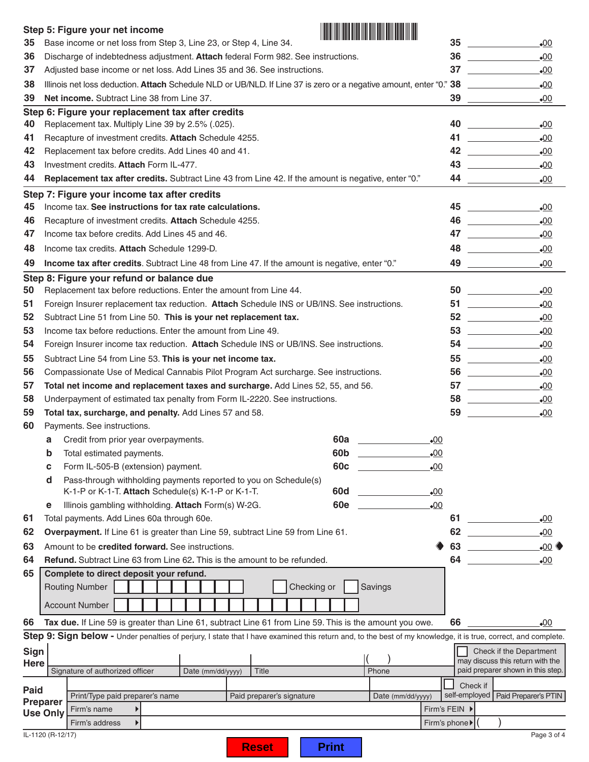|             | Step 5: Figure your net income                                                                                                                                 |    |                                                                  |
|-------------|----------------------------------------------------------------------------------------------------------------------------------------------------------------|----|------------------------------------------------------------------|
| 35          | Base income or net loss from Step 3, Line 23, or Step 4, Line 34.                                                                                              |    | $-00$                                                            |
| 36          | Discharge of indebtedness adjustment. Attach federal Form 982. See instructions.                                                                               |    | $\bullet$ 00                                                     |
| 37          | Adjusted base income or net loss. Add Lines 35 and 36. See instructions.                                                                                       |    | $\bullet$ 00                                                     |
| 38          | Illinois net loss deduction. Attach Schedule NLD or UB/NLD. If Line 37 is zero or a negative amount, enter "0." 38                                             |    | $\bullet$ 00                                                     |
| 39          | Net income. Subtract Line 38 from Line 37.                                                                                                                     |    | $\begin{array}{c c} 39 & \text{---} \end{array}$<br>$\bullet$ 00 |
|             | Step 6: Figure your replacement tax after credits                                                                                                              |    |                                                                  |
| 40          | Replacement tax. Multiply Line 39 by 2.5% (.025).                                                                                                              |    | $-00$                                                            |
| 41          | Recapture of investment credits. Attach Schedule 4255.                                                                                                         |    | $\bullet$ 00                                                     |
| 42          | Replacement tax before credits. Add Lines 40 and 41.                                                                                                           |    | 42<br>$-00$                                                      |
| 43          | Investment credits. Attach Form IL-477.                                                                                                                        |    | $\bullet$ 00                                                     |
| 44          | Replacement tax after credits. Subtract Line 43 from Line 42. If the amount is negative, enter "0."                                                            |    | .00                                                              |
|             | Step 7: Figure your income tax after credits                                                                                                                   |    |                                                                  |
| 45          | Income tax. See instructions for tax rate calculations.                                                                                                        |    | $\bullet$ 00                                                     |
| 46          | Recapture of investment credits. Attach Schedule 4255.                                                                                                         |    | 46<br>$\bullet$ 00                                               |
| 47          | Income tax before credits. Add Lines 45 and 46.                                                                                                                |    | $\bullet$ 00                                                     |
| 48          | Income tax credits. Attach Schedule 1299-D.                                                                                                                    |    | 48<br>$-00$                                                      |
| 49          | Income tax after credits. Subtract Line 48 from Line 47. If the amount is negative, enter "0."                                                                 |    | $-00$<br>49                                                      |
|             | Step 8: Figure your refund or balance due                                                                                                                      |    |                                                                  |
| 50          | Replacement tax before reductions. Enter the amount from Line 44.                                                                                              |    | $\bullet$ 00                                                     |
| 51          | Foreign Insurer replacement tax reduction. Attach Schedule INS or UB/INS. See instructions.                                                                    |    | $\bullet$ 00                                                     |
| 52          | Subtract Line 51 from Line 50. This is your net replacement tax.                                                                                               |    | $\bullet$ 00                                                     |
| 53          | Income tax before reductions. Enter the amount from Line 49.                                                                                                   |    | $\bullet$ 00<br>53                                               |
| 54          | Foreign Insurer income tax reduction. Attach Schedule INS or UB/INS. See instructions.                                                                         |    | $\bullet$ 00                                                     |
| 55          | Subtract Line 54 from Line 53. This is your net income tax.                                                                                                    |    | $\bullet$ 00                                                     |
| 56          | Compassionate Use of Medical Cannabis Pilot Program Act surcharge. See instructions.                                                                           |    | $\bullet$ 00                                                     |
| 57          | Total net income and replacement taxes and surcharge. Add Lines 52, 55, and 56.                                                                                |    | $\bullet$ 00                                                     |
| 58          | Underpayment of estimated tax penalty from Form IL-2220. See instructions.                                                                                     |    | $\bullet$ 00                                                     |
| 59          | Total tax, surcharge, and penalty. Add Lines 57 and 58.                                                                                                        |    | .00                                                              |
| 60          | Payments. See instructions.                                                                                                                                    |    |                                                                  |
|             | 60a <u>_____________</u><br>Credit from prior year overpayments.<br>$\bullet$ 00<br>a                                                                          |    |                                                                  |
|             | Total estimated payments.<br>60b<br>.00<br>b                                                                                                                   |    |                                                                  |
|             | <b>60c</b><br>$\bullet$ 00<br>Form IL-505-B (extension) payment.<br>с                                                                                          |    |                                                                  |
|             | Pass-through withholding payments reported to you on Schedule(s)<br>d                                                                                          |    |                                                                  |
|             | K-1-P or K-1-T. Attach Schedule(s) K-1-P or K-1-T.<br>60d<br>$\bullet$ 00                                                                                      |    |                                                                  |
|             | <b>60e</b><br>$\bullet$ 00<br>Illinois gambling withholding. Attach Form(s) W-2G.<br>е                                                                         |    |                                                                  |
| 61          | Total payments. Add Lines 60a through 60e.                                                                                                                     | 61 | $\bullet$ 00                                                     |
| 62          | Overpayment. If Line 61 is greater than Line 59, subtract Line 59 from Line 61.                                                                                | 62 | $\bullet$ 00                                                     |
| 63          | Amount to be credited forward. See instructions.                                                                                                               | 63 | $\bullet$ 00 $\circ$                                             |
| 64          | Refund. Subtract Line 63 from Line 62. This is the amount to be refunded.<br>64<br>$\bullet$ 00                                                                |    |                                                                  |
| 65          | Complete to direct deposit your refund.                                                                                                                        |    |                                                                  |
|             | Checking or<br>Routing Number<br>Savings                                                                                                                       |    |                                                                  |
|             | <b>Account Number</b>                                                                                                                                          |    |                                                                  |
| 66          | Tax due. If Line 59 is greater than Line 61, subtract Line 61 from Line 59. This is the amount you owe.                                                        | 66 | $\bullet$ 00                                                     |
|             | Step 9: Sign below - Under penalties of perjury, I state that I have examined this return and, to the best of my knowledge, it is true, correct, and complete. |    |                                                                  |
| <b>Sign</b> |                                                                                                                                                                |    | Check if the Department                                          |
| <b>Here</b> |                                                                                                                                                                |    | may discuss this return with the                                 |
|             | Signature of authorized officer<br>Phone<br>Date (mm/dd/yyyy)<br>Title                                                                                         |    | paid preparer shown in this step.                                |
| <b>Paid</b> | Print/Type paid preparer's name<br>Paid preparer's signature<br>Date (mm/dd/yyyy)                                                                              |    | Check if<br>self-employed Paid Preparer's PTIN                   |
|             | <b>Preparer</b><br>Firm's FEIN<br>Firm's name                                                                                                                  |    |                                                                  |
|             | <b>Use Only</b><br>Firm's phone ▶<br>Firm's address                                                                                                            |    |                                                                  |
|             | IL-1120 (R-12/17)                                                                                                                                              |    | Page 3 of 4                                                      |
|             | <b>Reset</b><br><b>Print</b>                                                                                                                                   |    |                                                                  |